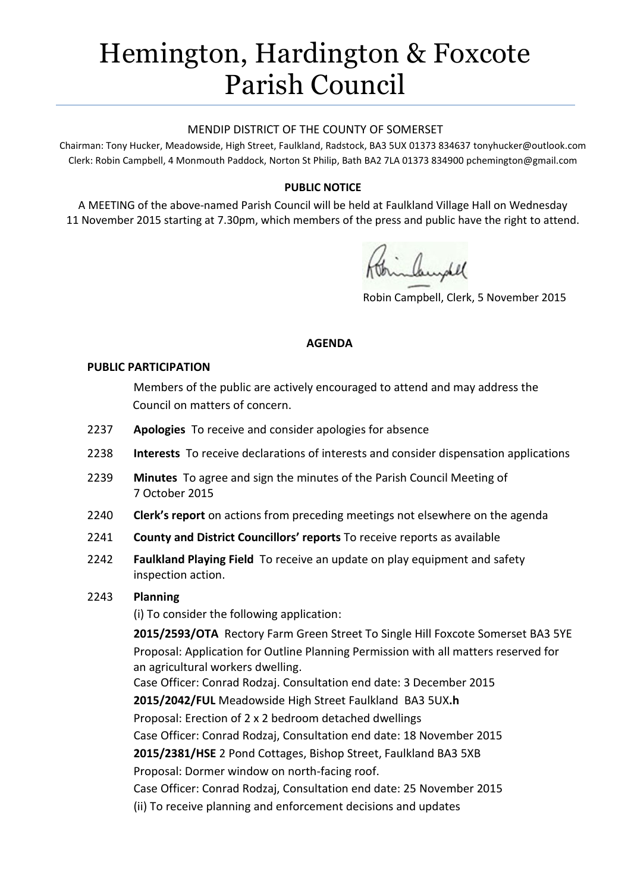# Hemington, Hardington & Foxcote Parish Council

#### MENDIP DISTRICT OF THE COUNTY OF SOMERSET

Chairman: Tony Hucker, Meadowside, High Street, Faulkland, Radstock, BA3 5UX 01373 834637 tonyhucker@outlook.com Clerk: Robin Campbell, 4 Monmouth Paddock, Norton St Philip, Bath BA2 7LA 01373 834900 [pchemington@gmail.com](mailto:pchemington@gmail.com)

### **PUBLIC NOTICE**

A MEETING of the above-named Parish Council will be held at Faulkland Village Hall on Wednesday 11 November 2015 starting at 7.30pm, which members of the press and public have the right to attend.

Robin Campbell, Clerk, 5 November 2015

#### **AGENDA**

#### **PUBLIC PARTICIPATION**

Members of the public are actively encouraged to attend and may address the Council on matters of concern.

- 2237 **Apologies** To receive and consider apologies for absence
- 2238 **Interests** To receive declarations of interests and consider dispensation applications
- 2239 **Minutes** To agree and sign the minutes of the Parish Council Meeting of 7 October 2015
- 2240 **Clerk's report** on actions from preceding meetings not elsewhere on the agenda
- 2241 **County and District Councillors' reports** To receive reports as available
- 2242 **Faulkland Playing Field** To receive an update on play equipment and safety inspection action.

#### 2243 **Planning**

(i) To consider the following application:

**2015/2593/OTA** Rectory Farm Green Street To Single Hill Foxcote Somerset BA3 5YE Proposal: Application for Outline Planning Permission with all matters reserved for an agricultural workers dwelling. Case Officer: Conrad Rodzaj. Consultation end date: 3 December 2015

**2015/2042/FUL** Meadowside High Street Faulkland BA3 5UX**.h** Proposal: Erection of 2 x 2 bedroom detached dwellings

Case Officer: Conrad Rodzaj, Consultation end date: 18 November 2015

**2015/2381/HSE** 2 Pond Cottages, Bishop Street, Faulkland BA3 5XB

Proposal: Dormer window on north-facing roof.

Case Officer: Conrad Rodzaj, Consultation end date: 25 November 2015

(ii) To receive planning and enforcement decisions and updates